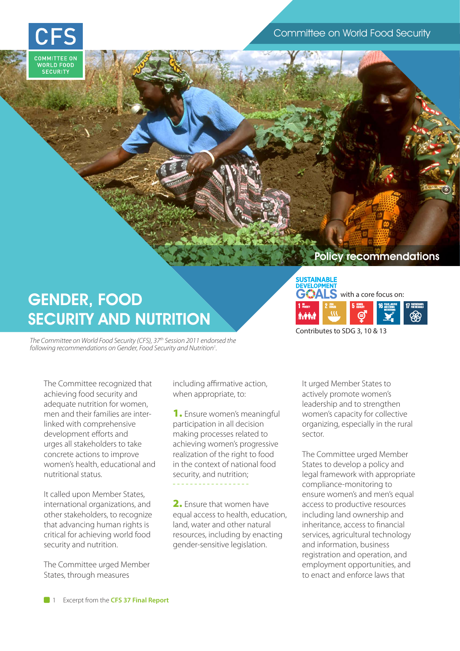

## **SUSTAINABLE**

## GENDER, FOOD SECURITY AND NUTRITION

*The Committee on World Food Security (CFS), 37th Session 2011 endorsed the*  following recommendations on Gender, Food Security and Nutrition<sup>1</sup>. *.*

with a core focus on: Contributes to SDG 3, 10 & 13 **ZERO HUNGER PEACE, JUSTICE AND STRONG INSTITUTIONS POVERTY AND ARTICLES AND ARTICLES AND ARTICLES OF A PARTNERSHIPS <b>FOR THE GO ALS FOR THE GO ALS FOR THE GO ALS FOR THE GO ALS POVERTY GENDER EQUALITY**

Policy recommendations

The Committee recognized that achieving food security and adequate nutrition for women, men and their families are interlinked with comprehensive development efforts and urges all stakeholders to take concrete actions to improve women's health, educational and nutritional status.

It called upon Member States, international organizations, and other stakeholders, to recognize that advancing human rights is critical for achieving world food security and nutrition.

The Committee urged Member States, through measures

including affirmative action, when appropriate, to:

1. Ensure women's meaningful participation in all decision making processes related to achieving women's progressive realization of the right to food in the context of national food security, and nutrition;

2. Ensure that women have equal access to health, education, land, water and other natural resources, including by enacting gender-sensitive legislation.

It urged Member States to actively promote women's leadership and to strengthen women's capacity for collective organizing, especially in the rural sector.

The Committee urged Member States to develop a policy and legal framework with appropriate compliance-monitoring to ensure women's and men's equal access to productive resources including land ownership and inheritance, access to financial services, agricultural technology and information, business registration and operation, and employment opportunities, and to enact and enforce laws that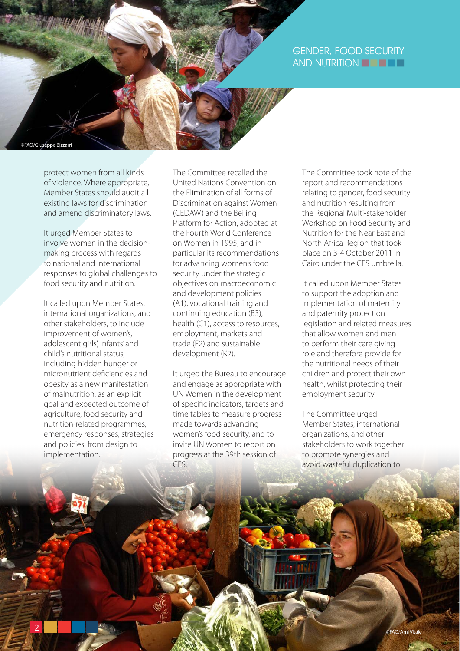## GENDER, FOOD SECURITY AND NUTRITION **FELLET**

protect women from all kinds of violence. Where appropriate, Member States should audit all existing laws for discrimination and amend discriminatory laws.

©FAO/Giuseppe Bizzarri

It urged Member States to involve women in the decisionmaking process with regards to national and international responses to global challenges to food security and nutrition.

It called upon Member States, international organizations, and other stakeholders, to include improvement of women's, adolescent girls', infants' and child's nutritional status, including hidden hunger or micronutrient deficiencies and obesity as a new manifestation of malnutrition, as an explicit goal and expected outcome of agriculture, food security and nutrition-related programmes, emergency responses, strategies and policies, from design to implementation.

The Committee recalled the United Nations Convention on the Elimination of all forms of Discrimination against Women (CEDAW) and the Beijing Platform for Action, adopted at the Fourth World Conference on Women in 1995, and in particular its recommendations for advancing women's food security under the strategic objectives on macroeconomic and development policies (A1), vocational training and continuing education (B3), health (C1), access to resources, employment, markets and trade (F2) and sustainable development (K2).

It urged the Bureau to encourage and engage as appropriate with UN Women in the development of specific indicators, targets and time tables to measure progress made towards advancing women's food security, and to invite UN Women to report on progress at the 39th session of CFS.

The Committee took note of the report and recommendations relating to gender, food security and nutrition resulting from the Regional Multi-stakeholder Workshop on Food Security and Nutrition for the Near East and North Africa Region that took place on 3-4 October 2011 in Cairo under the CFS umbrella.

It called upon Member States to support the adoption and implementation of maternity and paternity protection legislation and related measures that allow women and men to perform their care giving role and therefore provide for the nutritional needs of their children and protect their own health, whilst protecting their employment security.

The Committee urged Member States, international organizations, and other stakeholders to work together to promote synergies and avoid wasteful duplication to

Exam Vitale 2 CFAO/Ami Vitale 2 CFAO/Ami Vitale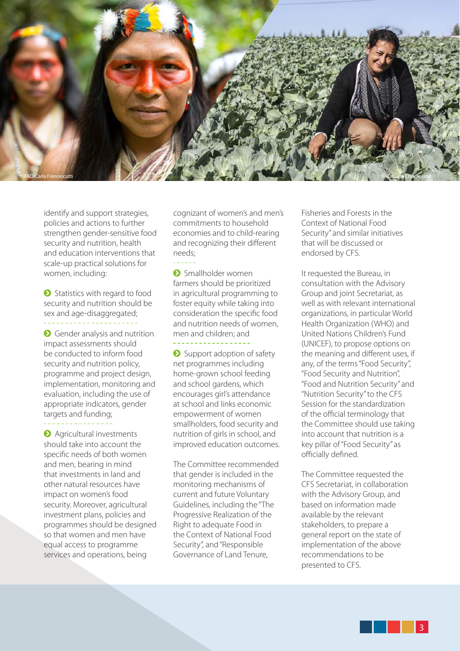

identify and support strategies, policies and actions to further strengthen gender-sensitive food security and nutrition, health and education interventions that scale-up practical solutions for women, including:

**•** Statistics with regard to food security and nutrition should be sex and age-disaggregated;

**•** Gender analysis and nutrition impact assessments should be conducted to inform food security and nutrition policy, programme and project design, implementation, monitoring and evaluation, including the use of appropriate indicators, gender targets and funding;

**a** Agricultural investments should take into account the specific needs of both women and men, bearing in mind that investments in land and other natural resources have impact on women's food security. Moreover, agricultural investment plans, policies and programmes should be designed so that women and men have equal access to programme services and operations, being

cognizant of women's and men's commitments to household economies and to child-rearing and recognizing their different needs;

**2** Smallholder women farmers should be prioritized in agricultural programming to foster equity while taking into consideration the specific food and nutrition needs of women, men and children; and

**•** Support adoption of safety net programmes including home-grown school feeding and school gardens, which encourages girl's attendance at school and links economic empowerment of women smallholders, food security and nutrition of girls in school, and improved education outcomes.

The Committee recommended that gender is included in the monitoring mechanisms of current and future Voluntary Guidelines, including the "The Progressive Realization of the Right to adequate Food in the Context of National Food Security", and "Responsible Governance of Land Tenure,

Fisheries and Forests in the Context of National Food Security" and similar initiatives that will be discussed or endorsed by CFS.

It requested the Bureau, in consultation with the Advisory Group and joint Secretariat, as well as with relevant international organizations, in particular World Health Organization (WHO) and United Nations Children's Fund (UNICEF), to propose options on the meaning and different uses, if any, of the terms "Food Security", "Food Security and Nutrition", "Food and Nutrition Security" and "Nutrition Security" to the CFS Session for the standardization of the official terminology that the Committee should use taking into account that nutrition is a key pillar of "Food Security" as officially defined.

The Committee requested the CFS Secretariat, in collaboration with the Advisory Group, and based on information made available by the relevant stakeholders, to prepare a general report on the state of implementation of the above recommendations to be presented to CFS.

3